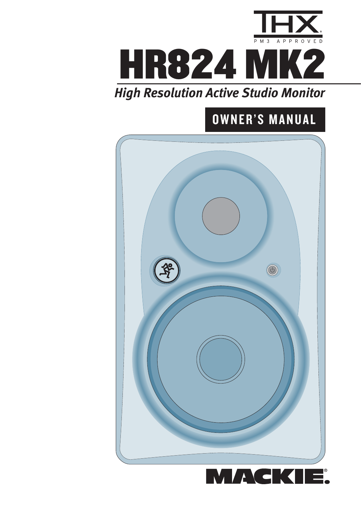

# OWNER'S MANUAL

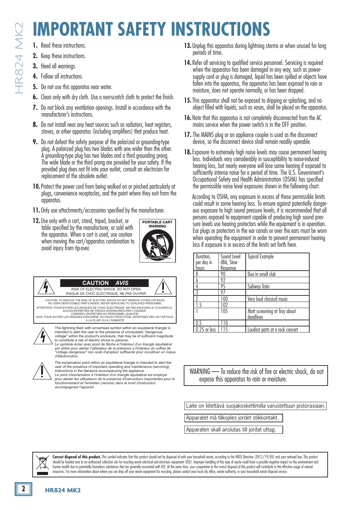- **1.** Read these instructions.
- **2.** Keep these instructions.
- **3.** Heed all warnings.
- **4.** Follow all instructions.
- **5.** Do not use this apparatus near water.
- **6.** Clean only with dry cloth. Use a non-scratch cloth to protect the finish.
- **7.** Do not block any ventilation openings. Install in accordance with the manufacturer's instructions.
- **8.** Do not install near any heat sources such as radiators, heat registers, stoves, or other apparatus (including amplifiers) that produce heat.
- **9.** Do not defeat the safety purpose of the polarized or grounding-type plug. A polarized plug has two blades with one wider than the other. A grounding-type plug has two blades and a third grounding prong. The wide blade or the third prong are provided for your safety. If the provided plug does not fit into your outlet, consult an electrician for replacement of the obsolete outlet.
- **10.**Protect the power cord from being walked on or pinched particularly at plugs, convenience receptacles, and the point where they exit from the apparatus.
- **11.** Only use attachments/accessories specified by the manufacturer.
- **12.** Use only with a cart, stand, tripod, bracket, or table specified by the manufacturer, or sold with the apparatus. When a cart is used, use caution when moving the cart/apparatus combination to avoid injury from tip-over.



<span id="page-1-0"></span>

*est utilisé pour alerter l'utilisateur de la présence à l'intérieur du coffret de "voltage dangereux" non isolé d'ampleur suffisante pour constituer un risque d'éléctrocution.*



The exclamation point within an equilateral triangle is intended to alert the user of the presence of important operating and maintenance (servicing) instructions in the literature accompanying the appliance.<br>Le point d'exclamation à l'intérieur d'un triangle équilatéral est employé<br>pour alerter les utilisateurs de la présence d'instructions importantes pour le *fonctionnement et l'entretien (service) dans le livret d'instruction accompagnant l'appareil.*

- **13.** Unplug this apparatus during lightning storms or when unused for long periods of time.
- **14.** Refer all servicing to qualified service personnel. Servicing is required when the apparatus has been damaged in any way, such as powersupply cord or plug is damaged, liquid has been spilled or objects have fallen into the apparatus, the apparatus has been exposed to rain or moisture, does not operate normally, or has been dropped.
- **15.**This apparatus shall not be exposed to dripping or splashing, and no object filled with liquids, such as vases, shall be placed on the apparatus.
- 16. Note that this apparatus is not completely disconnected from the AC mains service when the power switch is in the OFF position.
- **17.** The MAINS plug or an appliance coupler is used as the disconnect device, so the disconnect device shall remain readily operable.
- **18.**Exposure to extremely high noise levels may cause permanent hearing loss. Individuals vary considerably in susceptibility to noise-induced hearing loss, but nearly everyone will lose some hearing if exposed to sufficiently intense noise for a period of time. The U.S. Government's Occupational Safety and Health Administration (OSHA) has specified the permissible noise level exposures shown in the following chart.

According to OSHA, any exposure in excess of these permissible limits could result in some hearing loss. To ensure against potentially dangerous exposure to high sound pressure levels, it is recommended that all persons exposed to equipment capable of producing high sound pressure levels use hearing protectors while the equipment is in operation. Ear plugs or protectors in the ear canals or over the ears must be worn when operating the equipment in order to prevent permanent hearing loss if exposure is in excess of the limits set forth here.

| Duration,      | Sound Level | <b>Typical Example</b>                    |
|----------------|-------------|-------------------------------------------|
| per day in     | dBA, Slow   |                                           |
| hours          | Response    |                                           |
| 8              | 90          | Duo in small club                         |
| 6              | 92          |                                           |
|                | 95          | Subway Train                              |
| 3              | 97          |                                           |
| η              | 100         | Very loud classical music                 |
| .5             | 102         |                                           |
|                | 105         | Matt screaming at Troy about<br>deadlines |
| በ 5            | 110         |                                           |
| $0.25$ or less | 15          | Loudest parts at a rock concert           |

WARNING — To reduce the risk of fire or electric shock, do not expose this apparatus to rain or moisture.

Laite on liitettävä suojakoskettimilla varustettuun pistorasiaan.

Apparatet må tilkoples jordet stikkontakt.

Apparaten skall anslutas till jordat uttag.



Correct disposal of this product. This symbol indicates that this product should not be disposed of with your household waste, according to the WEEE Directive (2012/19/EU) and your national law. This product should be handed over to an authorized collection site for recycling waste electrical and electronic equipment (EEE). Improper handling of this type of waste could have a possible negative impact on the environment and human health due to potentially hazardous substances that are generally associated with EEE. At the same time, your cooperation in the correct disposal of this product will contribute to the effective usage of natural resources. For more information about where you can drop off your waste equipment for recycling, please contact your local city office, waste authority, or your household waste disposal service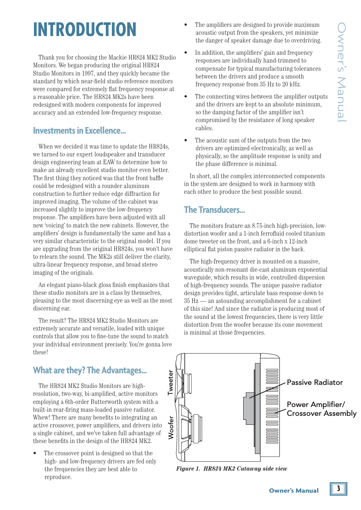Thank you for choosing the Mackie HR824 MK2 Studio Monitors. We began producing the original HR824 Studio Monitors in 1997, and they quickly became the standard by which near-field studio reference monitors were compared for extremely flat frequency response at a reasonable price. The HR824 MK2s have been redesigned with modern components for improved accuracy and an extended low-frequency response.

# **Investments in Excellence...**

When we decided it was time to update the HR824s, we turned to our expert loudspeaker and transducer design engineering team at EAW to determine how to make an already excellent studio monitor even better. The first thing they noticed was that the front baffle could be redesigned with a rounder aluminum construction to further reduce edge diffraction for improved imaging. The volume of the cabinet was increased slightly to improve the low-frequency response. The amplifiers have been adjusted with all new 'voicing' to match the new cabinets. However, the amplifiers' design is fundamentally the same and has a very similar characteristic to the original model. If you are upgrading from the original HR824s, you won't have to relearn the sound. The MK2s still deliver the clarity, ultra-linear frequency response, and broad stereo imaging of the originals.

An elegant piano-black gloss finish emphasizes that these studio monitors are in a class by themselves, pleasing to the most discerning eye as well as the most discerning ear.

The result? The HR824 MK2 Studio Monitors are extremely accurate and versatile, loaded with unique controls that allow you to fine-tune the sound to match your individual environment precisely. You're gonna love these!

# **What are they? The Advantages...**

The HR824 MK2 Studio Monitors are highresolution, two-way, bi-amplified, active monitors employing a 6th-order Butterworth system with a built-in rear-firing mass-loaded passive radiator. Whew! There are many benefits to integrating an active crossover, power amplifiers, and drivers into a single cabinet, and we've taken full advantage of these benefits in the design of the HR824 MK2.

The crossover point is designed so that the high- and low-frequency drivers are fed only the frequencies they are best able to reproduce.

- <span id="page-2-0"></span>**INTRODUCTION** • The amplifiers are designed to provide maximum acoustic output from the speakers, yet minimize acoustic output from the speakers, yet minimize the danger of speaker damage due to overdriving.
	- In addition, the amplifiers' gain and frequency responses are individually hand-trimmed to compensate for typical manufacturing tolerances between the drivers and produce a smooth frequency response from 35 Hz to 20 kHz.
	- The connecting wires between the amplifier outputs and the drivers are kept to an absolute minimum, so the damping factor of the amplifier isn't compromised by the resistance of long speaker cables.
	- The acoustic sum of the outputs from the two drivers are optimized electronically, as well as physically, so the amplitude response is unity and the phase difference is minimal.

In short, all the complex interconnected components in the system are designed to work in harmony with each other to produce the best possible sound.

# **The Transducers...**

The monitors feature an 8.75-inch high-precision, lowdistortion woofer and a 1-inch ferrofluid cooled titanium dome tweeter on the front, and a 6-inch x 12-inch elliptical flat piston passive radiator in the back.

The high-frequency driver is mounted on a massive, acoustically non-resonant die-cast aluminum exponential waveguide, which results in wide, controlled dispersion of high-frequency sounds. The unique passive radiator design provides tight, articulate bass response down to 35 Hz — an astounding accomplishment for a cabinet of this size! And since the radiator is producing most of the sound at the lowest frequencies, there is very little distortion from the woofer because its cone movement is minimal at those frequencies.



*Figure 1. HR824 MK2 Cutaway side view*

 $\overline{\mathbf{3}}$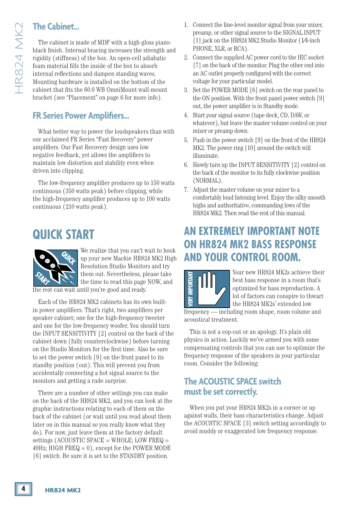# **The Cabinet...**

The cabinet is made of MDF with a high-gloss pianoblack finish. Internal bracing increases the strength and rigidity (stiffness) of the box. An open-cell adiabatic foam material fills the inside of the box to absorb internal reflections and dampen standing waves. Mounting hardware is installed on the bottom of the cabinet that fits the 60.0 WB OmniMount wall-mount bracket (see "Placement" on page 6 for more info).

# **FR Series Power Amplifiers...**

What better way to power the loudspeakers than with our acclaimed FR Series "Fast Recovery" power amplifiers. Our Fast Recovery design uses low negative feedback, yet allows the amplifiers to maintain low distortion and stability even when driven into clipping.

The low-frequency amplifier produces up to 150 watts continuous (350 watts peak) before clipping, while the high-frequency amplifier produces up to 100 watts continuous (210 watts peak).

# **QUICK START**



We realize that you can't wait to hook up your new Mackie HR824 MK2 High Resolution Studio Monitors and try them out. Nevertheless, please take the time to read this page NOW, and

the rest can wait until you're good and ready.

<span id="page-3-0"></span>**The Cabinet...**<br>
The cabinet is m<br>
black finish. Internal<br>
rigidity (stiffness)<br>
foam material fills<br>
internal reflections<br>
Mounting hardware<br>
cabinet that fits the<br>
bracket (see "Place<br> **FR Series Pow**<br>
What better way<br> Each of the HR824 MK2 cabinets has its own builtin power amplifiers. That's right, two amplifiers per speaker cabinet; one for the high-frequency tweeter and one for the low-frequency woofer. You should turn the INPUT SENSITIVITY [2] control on the back of the cabinet down (fully counterclockwise) before turning on the Studio Monitors for the first time. Also be sure to set the power switch [9] on the front panel to its standby position (out). This will prevent you from accidentally connecting a hot signal source to the monitors and getting a rude surprise.

There are a number of other settings you can make on the back of the HR824 MK2, and you can look at the graphic instructions relating to each of them on the back of the cabinet (or wait until you read about them later on in this manual so you really know what they do). For now, just leave them at the factory default settings (ACOUSTIC SPACE = WHOLE; LOW FREQ =  $49$ Hz; HIGH FREQ = 0), except for the POWER MODE [6] switch. Be sure it is set to the STANDBY position.

- 1. Connect the line-level monitor signal from your mixer, preamp, or other signal source to the SIGNAL INPUT [1] jack on the HR824 MK2 Studio Monitor (1⁄4-inch) PHONE, XLR, or RCA).
- 2. Connect the supplied AC power cord to the IEC socket [7] on the back of the monitor. Plug the other end into an AC outlet properly configured with the correct voltage for your particular model.
- 3. Set the POWER MODE [6] switch on the rear panel to the ON position. With the front panel power switch [9] out, the power amplifier is in Standby mode.
- 4. Start your signal source (tape deck, CD, DAW, or whatever), but leave the master volume control on your mixer or preamp down.
- 5. Push in the power switch [9] on the front of the HR824 MK2. The power ring [10] around the switch will illuminate.
- 6. Slowly turn up the INPUT SENSITIVITY [2] control on the back of the monitor to its fully clockwise position (NORMAL).
- 7. Adjust the master volume on your mixer to a comfortably loud listening level. Enjoy the silky smooth highs and authoritative, commanding lows of the HR824 MK2. Then read the rest of this manual.

# **AN EXTREMELY IMPORTANT NOTE ON HR824 MK2 BASS RESPONSE AND YOUR CONTROL ROOM.**



Your new HR824 MK2s achieve their best bass response in a room that's optimized for bass reproduction. A lot of factors can conspire to thwart the HR824 MK2s' extended low

frequency — including room shape, room volume and acoustical treatment.

This is not a cop-out or an apology. It's plain old physics in action. Luckily we've armed you with some compensating controls that you can use to optimize the frequency response of the speakers in your particular room. Consider the following:

# **The ACOUSTIC SPACE switch must be set correctly.**

When you put your HR824 MK2s in a corner or up against walls, their bass characteristics change. Adjust the ACOUSTIC SPACE [3] switch setting accordingly to avoid muddy or exaggerated low frequency response.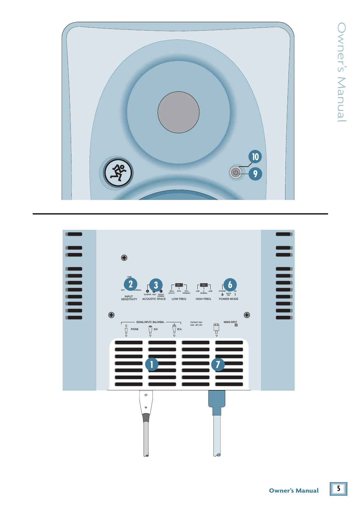

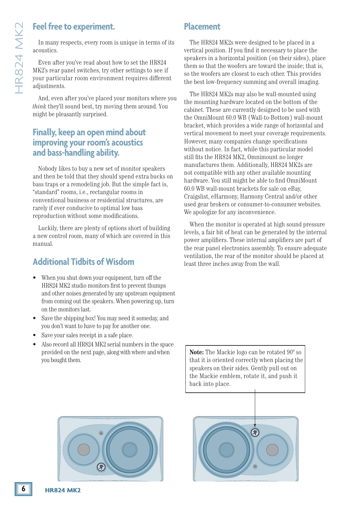In many respects, every room is unique in terms of its acoustics.

Even after you've read about how to set the HR824 MK2's rear panel switches, try other settings to see if your particular room environment requires different adjustments.

And, even after you've placed your monitors where you *think* they'll sound best, try moving them around. You might be pleasantly surprised.

# **Finally, keep an open mind about improving your room's acoustics and bass-handling ability.**

From the state of the state of the state of the state of the state and state of the state point of the state and state that an experiment of the state of the state of the state of the state of the state of the state of th Nobody likes to buy a new set of monitor speakers and then be told that they should spend extra bucks on bass traps or a remodeling job. But the simple fact is, "standard" rooms, i.e., rectangular rooms in conventional business or residential structures, are rarely if ever conducive to optimal low bass reproduction without some modifications.

Luckily, there are plenty of options short of building a new control room, many of which are covered in this manual.

# **Additional Tidbits of Wisdom**

- When you shut down your equipment, turn off the HR824 MK2 studio monitors first to prevent thumps and other noises generated by any upstream equipment from coming out the speakers. When powering up, turn on the monitors last.
- Save the shipping box! You may need it someday, and you don't want to have to pay for another one.
- Save your sales receipt in a safe place.
- Also record all HR824 MK2 serial numbers in the space provided on the next page, along with where and when you bought them.

# **Placement**

The HR824 MK2s were designed to be placed in a vertical position. If you find it necessary to place the speakers in a horizontal position (on their sides), place them so that the woofers are toward the inside; that is, so the woofers are closest to each other. This provides the best low-frequency summing and overall imaging.

The HR824 MK2s may also be wall-mounted using the mounting hardware located on the bottom of the cabinet. These are currently designed to be used with the OmniMount 60.0 WB (Wall-to-Bottom) wall-mount bracket, which provides a wide range of horizontal and vertical movement to meet your coverage requirements. However, many companies change specifications without notice. In fact, while this particular model still fits the HR824 MK2, Omnimount no longer manufactures them. Additionally, HR824 MK2s are not compatible with any other available mounting hardware. You still might be able to find OmniMount 60.0 WB wall-mount brackets for sale on eBay, Craigslist, eHarmony, Harmony Central and/or other used gear brokers or consumer-to-consumer websites. We apologize for any inconvenience.

When the monitor is operated at high sound pressure levels, a fair bit of heat can be generated by the internal power amplifiers. These internal amplifiers are part of the rear panel electronics assembly. To ensure adequate ventilation, the rear of the monitor should be placed at least three inches away from the wall.

**Note:** The Mackie logo can be rotated 90º so that it is oriented correctly when placing the speakers on their sides. Gently pull out on the Mackie emblem, rotate it, and push it back into place.



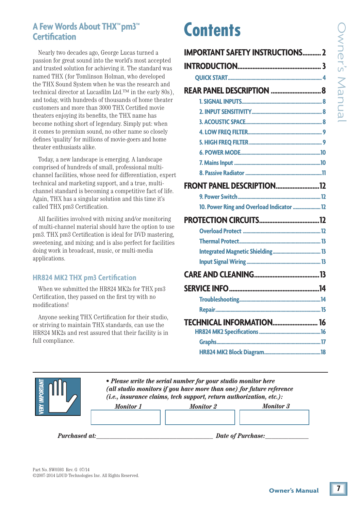# **Dwner's Manu**

# **A Few Words About THX™ pm3™ Certification**

Nearly two decades ago, George Lucas turned a passion for great sound into the world's most accepted and trusted solution for achieving it. The standard was named THX (for Tomlinson Holman, who developed the THX Sound System when he was the research and technical director at Lucasfilm Ltd.<sup>™</sup> in the early 80s), and today, with hundreds of thousands of home theater customers and more than 3000 THX Certified movie theaters enjoying its benefits, the THX name has become nothing short of legendary. Simply put: when it comes to premium sound, no other name so closely defines 'quality' for millions of movie-goers and home theater enthusiasts alike.

Today, a new landscape is emerging. A landscape comprised of hundreds of small, professional multichannel facilities, whose need for differentiation, expert technical and marketing support, and a true, multichannel standard is becoming a competitive fact of life. Again, THX has a singular solution and this time it's called THX pm3 Certification.

All facilities involved with mixing and/or monitoring of multi-channel material should have the option to use pm3. THX pm3 Certification is ideal for DVD mastering, sweetening, and mixing; and is also perfect for facilities doing work in broadcast, music, or multi-media applications.

# **HR824 MK2 THX pm3 Certification**

When we submitted the HR824 MK2s for THX pm3 Certification, they passed on the first try with no modifications!

Anyone seeking THX Certification for their studio, or striving to maintain THX standards, can use the HR824 MK2s and rest assured that their facility is in full compliance.

# **Contents**

|                  | FRONT PANEL DESCRIPTION12                                                                                                                 |
|------------------|-------------------------------------------------------------------------------------------------------------------------------------------|
|                  |                                                                                                                                           |
|                  | 10. Power Ring and Overload Indicator  12                                                                                                 |
|                  |                                                                                                                                           |
|                  |                                                                                                                                           |
|                  |                                                                                                                                           |
|                  |                                                                                                                                           |
|                  |                                                                                                                                           |
|                  |                                                                                                                                           |
|                  |                                                                                                                                           |
|                  |                                                                                                                                           |
|                  |                                                                                                                                           |
|                  | <b>TECHNICAL INFORMATION 16</b>                                                                                                           |
|                  |                                                                                                                                           |
|                  |                                                                                                                                           |
|                  |                                                                                                                                           |
|                  |                                                                                                                                           |
| <b>Monitor 2</b> | ther for your studio monitor here<br>ave more than one) for future reference<br>support, return authorization, etc.):<br><b>Monitor 3</b> |
|                  |                                                                                                                                           |
|                  |                                                                                                                                           |

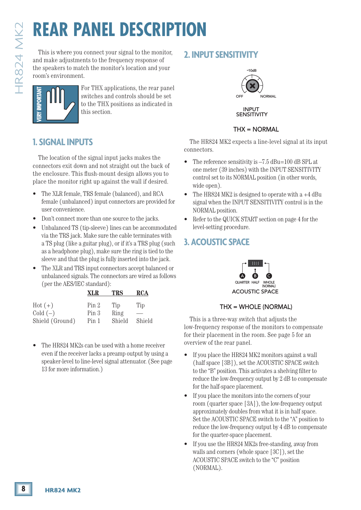This is where you connect your signal to the monitor, and make adjustments to the frequency response of the speakers to match the monitor's location and your room's environment.



For THX applications, the rear panel switches and controls should be set to the THX positions as indicated in this section.

# **1. SIGNAL INPUTS**

The location of the signal input jacks makes the connectors exit down and not straight out the back of the enclosure. This flush-mount design allows you to place the monitor right up against the wall if desired.

- The XLR female, TRS female (balanced), and RCA female (unbalanced) input connectors are provided for user convenience.
- Don't connect more than one source to the jacks.
- <span id="page-7-0"></span>**REAR PANEL DESCRIPTION**<br>
This is where you connot your signal to the monitor, 2. INPUT<br>
and make adjustments to the frequencies response of<br>  $\infty$  the speakers to metable monitor is consider and your<br>
the speakers to met • Unbalanced TS (tip-sleeve) lines can be accommodated via the TRS jack. Make sure the cable terminates with a TS plug (like a guitar plug), or if it's a TRS plug (such as a headphone plug), make sure the ring is tied to the sleeve and that the plug is fully inserted into the jack.
	- The XLR and TRS input connectors accept balanced or unbalanced signals. The connectors are wired as follows (per the AES/IEC standard):

|                 | XLR.             | <b>TRS</b>       | RCA    |
|-----------------|------------------|------------------|--------|
| $Hot (+)$       | Pin <sub>2</sub> | Tip <sup>1</sup> | Tip    |
| Cold $(-)$      | Pin 3            | Ring             |        |
| Shield (Ground) | Pin 1            | Shield           | Shield |

• The HR824 MK2s can be used with a home receiver even if the receiver lacks a preamp output by using a speaker-level to line-level signal attenuator. (See page 13 for more information.)

# **2. INPUT SENSITIVITY**



# THX = NORMAL

The HR824 MK2 expects a line-level signal at its input connectors.

- The reference sensitivity is  $-7.5$  dBu=100 dB SPL at one meter (39 inches) with the INPUT SENSITIVITY control set to its NORMAL position (in other words, wide open).
- The HR824 MK2 is designed to operate with a  $+4$  dBu signal when the INPUT SENSITIVITY control is in the NORMAL position.
- Refer to the QUICK START section on page 4 for the level-setting procedure.

# **3. ACOUSTIC SPACE**



# THX = WHOLE (NORMAL)

This is a three-way switch that adjusts the low-frequency response of the monitors to compensate for their placement in the room. See page 5 for an overview of the rear panel.

- If you place the HR824 MK2 monitors against a wall (half space [3B]), set the ACOUSTIC SPACE switch to the "B" position. This activates a shelving filter to reduce the low-frequency output by 2 dB to compensate for the half-space placement.
- If you place the monitors into the corners of your room (quarter space [3A]), the low-frequency output approximately doubles from what it is in half space. Set the ACOUSTIC SPACE switch to the "A" position to reduce the low-frequency output by 4 dB to compensate for the quarter-space placement.
- If you use the HR824 MK2s free-standing, away from walls and corners (whole space [3C]), set the ACOUSTIC SPACE switch to the "C" position (NORMAL).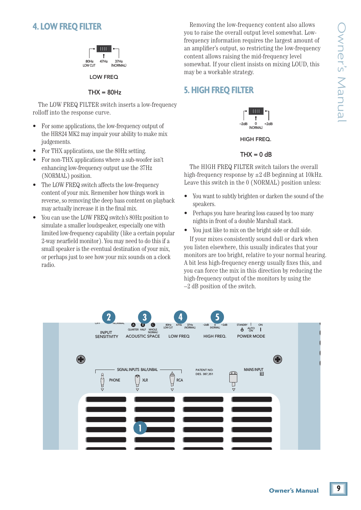# **OWNERS Manua**

# **4. LOW FREQ FILTER**



**LOW FREQ.** 

 $THX = 80Hz$ 

SPEAKERS IN CORNERS SPEAKERS AGAINST WALL The LOW FREQ FILTER switch inserts a low-frequency rolloff into the response curve.

- the HR824 MK2 may impair your ability to make mix • For some applications, the low-frequency output of judgements.
- For THX applications, use the 80Hz setting.
- For non-THX applications where a sub-woofer isn't enhancing low-frequency output use the 37Hz (NORMAL) position.
- The LOW FREQ switch affects the low-frequency content of your mix. Remember how things work in reverse, so removing the deep bass content on playback may actually increase it in the final mix.
- You can use the LOW FREQ switch's 80Hz position to simulate a smaller loudspeaker, especially one with limited low-frequency capability (like a certain popular 2-way nearfield monitor). You may need to do this if a small speaker is the eventual destination of your mix, or perhaps just to see how your mix sounds on a clock radio.

Removing the low-frequency content also allows you to raise the overall output level somewhat. Lowfrequency information requires the largest amount of an amplifier's output, so restricting the low-frequency content allows raising the mid-frequency level somewhat. If your client insists on mixing LOUD, this may be a workable strategy.

## $\mathcal{L}_{\text{max}}$  and  $\mathcal{L}_{\text{max}}$  space  $\mathcal{L}_{\text{max}}$  space  $\mathcal{L}_{\text{max}}$ **5. HIGH FREQ FILTER**



HIGH FREQ.

# $THX = 0$  dB

Leave this switch in the  $0$  (NORMAL) position unless:  $\mathbb{R}$  100Hz The HIGH FREQ FILTER switch tailors the overall high-frequency response by  $\pm 2$  dB beginning at 10kHz.

- $I<sub>ayu</sub><sub>ayu</sub>$  speakers. • You want to subtly brighten or darken the sound of the
	- Perhaps you have hearing loss caused by too many nights in front of a double Marshall stack.
	- You just like to mix on the bright side or dull side.

If your mixes consistently sound dull or dark when you listen elsewhere, this usually indicates that your monitors are too bright, relative to your normal hearing. A bit less high-frequency energy usually fixes this, and you can force the mix in this direction by reducing the high-frequency output of the monitors by using the –2 dB position of the switch.

<span id="page-8-0"></span>

9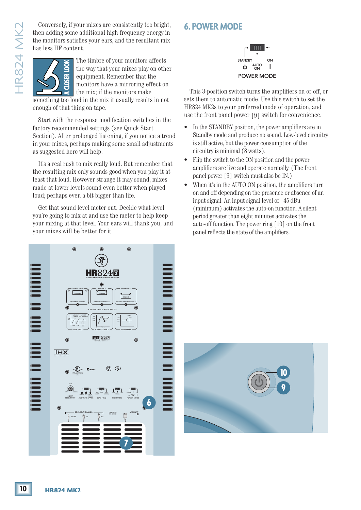Conversely, if your mixes are consistently too bright, then adding some additional high-frequency energy in the monitors satisfies your ears, and the resultant mix has less HF content.



 $\sum_{s}$  The timbre of your monitors affects the way that your mixes play on other equipment. Remember that the **ACCOUSTIC SPACE ROOP** FOWER MODE monitors have a mirroring effect on the mix; if the monitors make

something too loud in the mix it usually results in not enough of that thing on tape.

Start with the response modification switches in the factory recommended settings (see Quick Start Section). After prolonged listening, if you notice a trend in your mixes, perhaps making some small adjustments as suggested here will help.

It's a real rush to mix really loud. But remember that the resulting mix only sounds good when you play it at least that loud. However strange it may sound, mixes made at lower levels sound even better when played loud; perhaps even a bit bigger than life.

Get that sound level meter out. Decide what level you're going to mix at and use the meter to help keep your mixing at that level. Your ears will thank you, and your mixes will be better for it.

# **6. POWER MODE**



This 3-position switch turns the amplifiers on or off, or sets them to automatic mode. Use this switch to set the HR824 MK2s to your preferred mode of operation, and use the front panel power [9] switch for convenience.

- In the STANDBY position, the power amplifiers are in Standby mode and produce no sound. Low-level circuitry is still active, but the power consumption of the circuitry is minimal (8 watts).
- Flip the switch to the ON position and the power amplifiers are live and operate normally. (The front panel power [9] switch must also be IN.)
- When it's in the AUTO ON position, the amplifiers turn on and off depending on the presence or absence of an input signal. An input signal level of –45 dBu (minimum) activates the auto-on function. A silent period greater than eight minutes activates the auto-off function. The power ring [10] on the front panel reflects the state of the amplifiers.

<span id="page-9-0"></span>

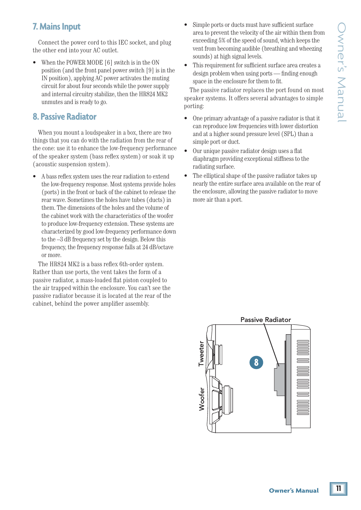# <span id="page-10-0"></span>**7. Mains Input**

Connect the power cord to this IEC socket, and plug the other end into your AC outlet.

• When the POWER MODE [6] switch is in the ON position (and the front panel power switch [9] is in the IN position), applying AC power activates the muting circuit for about four seconds while the power supply and internal circuitry stabilize, then the HR824 MK2 unmutes and is ready to go.

# **8. Passive Radiator**

When you mount a loudspeaker in a box, there are two things that you can do with the radiation from the rear of the cone: use it to enhance the low‑frequency performance of the speaker system (bass reflex system) or soak it up (acoustic suspension system).

• A bass reflex system uses the rear radiation to extend the low-frequency response. Most systems provide holes (ports) in the front or back of the cabinet to release the rear wave. Sometimes the holes have tubes (ducts) in them. The dimensions of the holes and the volume of the cabinet work with the characteristics of the woofer to produce low-frequency extension. These systems are characterized by good low-frequency performance down to the –3 dB frequency set by the design. Below this frequency, the frequency response falls at 24 dB/octave or more.

The HR824 MK2 is a bass reflex 6th-order system. Rather than use ports, the vent takes the form of a passive radiator, a mass-loaded flat piston coupled to the air trapped within the enclosure. You can't see the passive radiator because it is located at the rear of the cabinet, behind the power amplifier assembly.

- Simple ports or ducts must have sufficient surface area to prevent the velocity of the air within them from exceeding 5% of the speed of sound, which keeps the vent from becoming audible (breathing and wheezing sounds) at high signal levels.
- This requirement for sufficient surface area creates a design problem when using ports — finding enough space in the enclosure for them to fit.

The passive radiator replaces the port found on most speaker systems. It offers several advantages to simple porting:

- One primary advantage of a passive radiator is that it can reproduce low frequencies with lower distortion and at a higher sound pressure level (SPL) than a simple port or duct.
- Our unique passive radiator design uses a flat diaphragm providing exceptional stiffness to the radiating surface.
- The elliptical shape of the passive radiator takes up nearly the entire surface area available on the rear of the enclosure, allowing the passive radiator to move more air than a port.

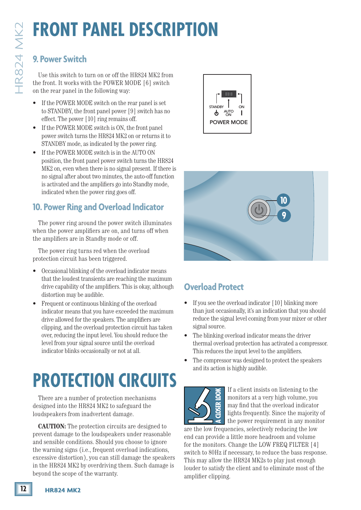# **9. Power Switch**

Use this switch to turn on or off the HR824 MK2 from the front. It works with the POWER MODE [6] switch on the rear panel in the following way:

- If the POWER MODE switch on the rear panel is set to STANDBY, the front panel power [9] switch has no effect. The power  $[10]$  ring remains off.  $\frac{1}{2}$  hower  $\left[9\right]$  switch has no
- If the POWER MODE switch is ON, the front panel power switch turns the HR824 MK2 on or returns it to STANDBY mode, as indicated by the power ring. SENSITIVITY OF THE SENSITIVITY OF THE SENSITIVITY OF THE SENSITIVITY OF THE SENSITIVITY OF THE SENSITIVITY OF <br>SENSITIVITY OF THE SENSITIVITY OF THE SENSITIVITY OF THE SENSITIVITY OF THE SENSITIVITY OF THE SENSITIVITY OF
	- If the POWER MODE switch is in the AUTO ON position, the front panel power switch turns the HR824 MK2 on, even when there is no signal present. If there is no signal after about two minutes, the auto-off function is activated and the amplifiers go into Standby mode, indicated when the power ring goes off.

# **10. Power Ring and Overload Indicator**

The power ring around the power switch illuminates when the power amplifiers are on, and turns off when the amplifiers are in Standby mode or off.

The power ring turns red when the overload protection circuit has been triggered.

- Occasional blinking of the overload indicator means that the loudest transients are reaching the maximum drive capability of the amplifiers. This is okay, although distortion may be audible.
- Frequent or continuous blinking of the overload indicator means that you have exceeded the maximum drive allowed for the speakers. The amplifiers are clipping, and the overload protection circuit has taken over, reducing the input level. You should reduce the level from your signal source until the overload indicator blinks occasionally or not at all.

# **PROTECTION CIRCUITS**

There are a number of protection mechanisms designed into the HR824 MK2 to safeguard the loudspeakers from inadvertent damage.

<span id="page-11-0"></span>**12 FRONT PANEL DESCRIPTION**<br>
9. Power Switch<br>
22 **ISBN WERE WORK WAS EXAMPLE TO USE**<br>
13 **Download the characteristic state of the state of the state of the state of the state of the state of the state of the state of CAUTION:** The protection circuits are designed to prevent damage to the loudspeakers under reasonable and sensible conditions. Should you choose to ignore the warning signs (i.e., frequent overload indications, excessive distortion), you can still damage the speakers in the HR824 MK2 by overdriving them. Such damage is beyond the scope of the warranty.





# **Overload Protect**

- If you see the overload indicator [10] blinking more than just occasionally, it's an indication that you should reduce the signal level coming from your mixer or other signal source.
- The blinking overload indicator means the driver thermal overload protection has activated a compressor. This reduces the input level to the amplifiers.
- The compressor was designed to protect the speakers and its action is highly audible.



If a client insists on listening to the monitors at a very high volume, you may find that the overload indicator lights frequently. Since the majority of the power requirement in any monitor

are the low frequencies, selectively reducing the low end can provide a little more headroom and volume for the monitors. Change the LOW FREQ FILTER [4] switch to 80Hz if necessary, to reduce the bass response. This may allow the HR824 MK2s to play just enough louder to satisfy the client and to eliminate most of the amplifier clipping.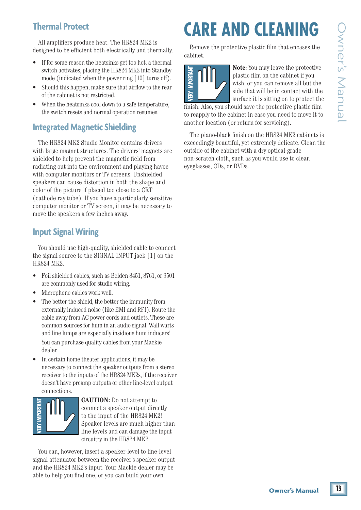# <span id="page-12-0"></span>**Thermal Protect**

All amplifiers produce heat. The HR824 MK2 is designed to be efficient both electrically and thermally.

- If for some reason the heatsinks get too hot, a thermal switch activates, placing the HR824 MK2 into Standby mode (indicated when the power ring [10] turns off).
- Should this happen, make sure that airflow to the rear of the cabinet is not restricted.
- When the heatsinks cool down to a safe temperature, the switch resets and normal operation resumes.

# **Integrated Magnetic Shielding**

The HR824 MK2 Studio Monitor contains drivers with large magnet structures. The drivers' magnets are shielded to help prevent the magnetic field from radiating out into the environment and playing havoc with computer monitors or TV screens. Unshielded speakers can cause distortion in both the shape and color of the picture if placed too close to a CRT (cathode ray tube). If you have a particularly sensitive computer monitor or TV screen, it may be necessary to move the speakers a few inches away.

# **Input Signal Wiring**

You should use high-quality, shielded cable to connect the signal source to the SIGNAL INPUT jack [1] on the HR824 MK2.

- Foil shielded cables, such as Belden 8451, 8761, or 9501 are commonly used for studio wiring.
- Microphone cables work well.
- The better the shield, the better the immunity from externally induced noise (like EMI and RFI). Route the cable away from AC power cords and outlets. These are common sources for hum in an audio signal. Wall warts and line lumps are especially insidious hum inducers! You can purchase quality cables from your Mackie dealer.
- In certain home theater applications, it may be necessary to connect the speaker outputs from a stereo receiver to the inputs of the HR824 MK2s, if the receiver doesn't have preamp outputs or other line-level output connections.



**CAUTION:** Do not attempt to connect a speaker output directly to the input of the HR824 MK2! Speaker levels are much higher than line levels and can damage the input circuitry in the HR824 MK2.

You can, however, insert a speaker-level to line-level signal attenuator between the receiver's speaker output and the HR824 MK2's input. Your Mackie dealer may be able to help you find one, or you can build your own.

# **CARE AND CLEANING**

Remove the protective plastic film that encases the cabinet.



**CONSTRAINTS**<br>
The that encases the<br>
The cabinet if you<br>
the cabinet if you<br>
no memore all but the<br>
le in contact with the<br>
point on the protect the<br>
The countring on to protect the<br>
The counted to move it to<br>
The vicing). **Note:** You may leave the protective plastic film on the cabinet if you wish, or you can remove all but the side that will be in contact with the surface it is sitting on to protect the

finish. Also, you should save the protective plastic film to reapply to the cabinet in case you need to move it to another location (or return for servicing).

The piano-black finish on the HR824 MK2 cabinets is exceedingly beautiful, yet extremely delicate. Clean the outside of the cabinet with a dry optical-grade non-scratch cloth, such as you would use to clean eyeglasses, CDs, or DVDs.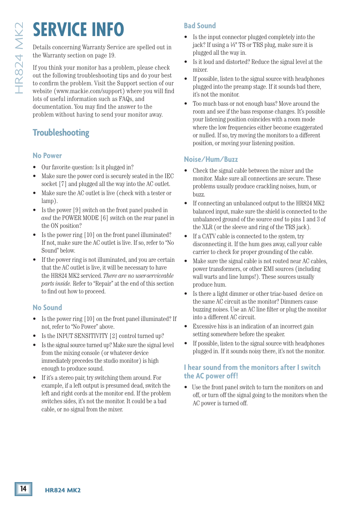Details concerning Warranty Service are spelled out in the Warranty section on page 19.

<span id="page-13-0"></span>**14 EXERCT INFORM**<br> **14 EXERCT DESCRIPS EXERCT DEVIDED**<br> **14 EXERCT EXERCT EXERCT EXERCT CONTIFINATIVE AND CONDITE TO <b>CONDITE AND EXERCT CONDITE AND EXERCT CONDITE AND EXERCT CONDITE AND** If you think your monitor has a problem, please check out the following troubleshooting tips and do your best to confirm the problem. Visit the Support section of our website (www.mackie.com/support) where you will find lots of useful information such as FAQs, and documentation. You may find the answer to the problem without having to send your monitor away.

# **Troubleshooting**

# **No Power**

- Our favorite question: Is it plugged in?
- Make sure the power cord is securely seated in the IEC socket [7] and plugged all the way into the AC outlet.
- Make sure the AC outlet is live (check with a tester or lamp).
- Is the power [9] switch on the front panel pushed in *and* the POWER MODE [6] switch on the rear panel in the ON position?
- Is the power ring [10] on the front panel illuminated? If not, make sure the AC outlet is live. If so, refer to "No Sound" below.
- If the power ring is not illuminated, and you are certain that the AC outlet is live, it will be necessary to have the HR824 MK2 serviced. *There are no user-serviceable parts inside.* Refer to "Repair" at the end of this section to find out how to proceed.

# **No Sound**

- Is the power ring [10] on the front panel illuminated? If not, refer to "No Power" above.
- Is the INPUT SENSITIVITY [2] control turned up?
- Is the signal source turned up? Make sure the signal level from the mixing console (or whatever device immediately precedes the studio monitor) is high enough to produce sound.
- If it's a stereo pair, try switching them around. For example, if a left output is presumed dead, switch the left and right cords at the monitor end. If the problem switches sides, it's not the monitor. It could be a bad cable, or no signal from the mixer.

# **Bad Sound**

- Is the input connector plugged completely into the jack? If using a 1⁄4" TS or TRS plug, make sure it is plugged all the way in.
- Is it loud and distorted? Reduce the signal level at the mixer.
- If possible, listen to the signal source with headphones plugged into the preamp stage. If it sounds bad there, it's not the monitor.
- Too much bass or not enough bass? Move around the room and see if the bass response changes. It's possible your listening position coincides with a room mode where the low frequencies either become exaggerated or nulled. If so, try moving the monitors to a different position, or moving your listening position.

# **Noise/Hum/Buzz**

- Check the signal cable between the mixer and the monitor. Make sure all connections are secure. These problems usually produce crackling noises, hum, or buzz.
- If connecting an unbalanced output to the HR824 MK2 balanced input, make sure the shield is connected to the unbalanced ground of the source *and* to pins 1 and 3 of the XLR (or the sleeve and ring of the TRS jack).
- If a CATV cable is connected to the system, try disconnecting it. If the hum goes away, call your cable carrier to check for proper grounding of the cable.
- Make sure the signal cable is not routed near AC cables, power transformers, or other EMI sources (including wall warts and line lumps!). These sources usually produce hum.
- Is there a light dimmer or other triac-based device on the same AC circuit as the monitor? Dimmers cause buzzing noises. Use an AC line filter or plug the monitor into a different AC circuit.
- Excessive hiss is an indication of an incorrect gain setting somewhere before the speaker.
- If possible, listen to the signal source with headphones plugged in. If it sounds noisy there, it's not the monitor.

# **I hear sound from the monitors after I switch the AC power off!**

• Use the front panel switch to turn the monitors on and off, or turn off the signal going to the monitors when the AC power is turned off.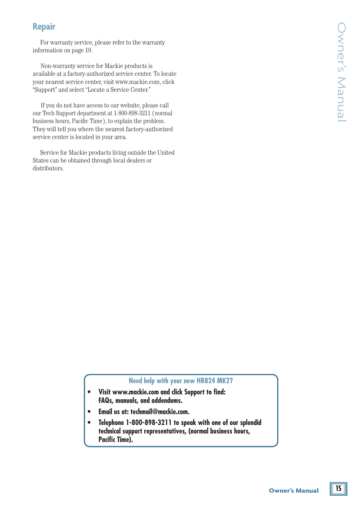# <span id="page-14-0"></span>**Repair**

For warranty service, please refer to the warranty information on page 19.

Non-warranty service for Mackie products is available at a factory-authorized service center. To locate your nearest service center, visit www.mackie.com, click "Support" and select "Locate a Service Center."

If you do not have access to our website, please call our Tech Support department at 1-800-898-3211 (normal business hours, Pacific Time), to explain the problem. They will tell you where the nearest factory-authorized service center is located in your area.

Service for Mackie products living outside the United States can be obtained through local dealers or distributors.

# **Need help with your new HR824 MK2?**

- **• Visit www.mackie.com and click Support to find: FAQs, manuals, and addendums.**
- **• Email us at: techmail@mackie.com.**
- **• Telephone 1-800-898-3211 to speak with one of our splendid technical support representatives, (normal business hours, Pacific Time).**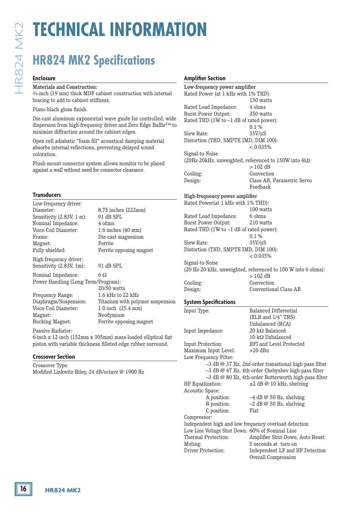# **HR824 MK2 Specifications**

# **Enclosure**

# Materials and Construction:

# **Transducers**

<span id="page-15-0"></span>

| <b>Enclosure</b>                                                                                       |                                                                                                                                 | <b>Amplifier</b>                                                          |
|--------------------------------------------------------------------------------------------------------|---------------------------------------------------------------------------------------------------------------------------------|---------------------------------------------------------------------------|
| Materials and Construction:<br>bracing to add to cabinet stiffness.                                    | 3/4-inch (19 mm) thick MDF cabinet construction with internal                                                                   | Low-frequ<br>Rated Pov                                                    |
| Piano-black gloss finish.                                                                              | Die-cast aluminum exponential wave guide for controlled, wide<br>dispersion from high-frequency driver and Zero Edge Baffle™ to | Rated Loa<br><b>Burst Pow</b><br>Rated THI                                |
| minimize diffraction around the cabinet edges.                                                         | Open cell adiabatic "foam fill" acoustical damping material<br>absorbs internal reflections, preventing delayed sound           | Slew Rate<br>Distortion                                                   |
| coloration.<br>Flush-mount connector system allows monitor to be placed                                |                                                                                                                                 | Signal-to-l<br>$(20Hz-20k$                                                |
| against a wall without need for connector clearance.                                                   |                                                                                                                                 | Cooling:<br>Design:                                                       |
| <b>Transducers</b><br>Low-frequency driver:<br>Diameter:                                               | 8.75 inches (222mm)                                                                                                             | High-freq<br>Rated Pov                                                    |
| Sensitivity (2.83V, 1 m):<br>Nominal Impedance:<br>Voice Coil Diameter:<br>Frame:                      | 91 dB SPL<br>4 ohms<br>$1.6$ inches $(40$ mm)<br>Die-cast magnesium                                                             | Rated Loa<br><b>Burst Pow</b><br>Rated THI                                |
| Magnet:<br>Fully shielded:                                                                             | Ferrite<br>Ferrite opposing magnet                                                                                              | Slew Rate<br>Distortion                                                   |
| High-frequency driver:<br>Sensitivity (2.83V, 1m):                                                     | 91 dB SPL                                                                                                                       | Signal-to-l<br>$(20 \text{ Hz-}20)$                                       |
| Nominal Impedance:<br>Power Handling (Long Term/Program):                                              | $6\Omega$<br>20/50 watts                                                                                                        | Cooling:<br>Design:                                                       |
| Frequency Range:<br>Diaphragm/Suspension:<br>Voice Coil Diameter:<br>Magnet:<br><b>Bucking Magnet:</b> | 1.6 kHz to 22 kHz<br>Titanium with polymer suspension<br>1.0 inch (25.4 mm)<br>Neodymium<br>Ferrite opposing magnet             | <b>System Sp</b><br>Input Type                                            |
| Passive Radiator:                                                                                      | 6-inch x 12-inch (152mm x 305mm) mass-loaded elliptical flat<br>piston with variable thickness filleted edge rubber surround.   | Input Imp<br><b>Input Prot</b>                                            |
| <b>Crossover Section</b>                                                                               |                                                                                                                                 | Maximum<br>Low Frequ                                                      |
| Crossover Type:<br>Modified Linkwitz-Riley, 24 dB/octave @ 1900 Hz                                     |                                                                                                                                 |                                                                           |
|                                                                                                        |                                                                                                                                 | HF Equali<br>Acoustic S                                                   |
|                                                                                                        |                                                                                                                                 | Compress<br>Independe<br>Low Line \<br>Thermal F<br>Muting:<br>Driver Pro |

# **Crossover Section**

# **Amplifier Section**

| Low-frequency power amplifier                         |                                                               |  |
|-------------------------------------------------------|---------------------------------------------------------------|--|
| Rated Power (at 1 kHz with 1% THD):                   |                                                               |  |
|                                                       | 150 watts                                                     |  |
| Rated Load Impedance:                                 | 4 ohms                                                        |  |
| <b>Burst Power Output:</b>                            | 350 watts                                                     |  |
| Rated THD (1W to -1 dB of rated power):               |                                                               |  |
|                                                       | $0.1\%$                                                       |  |
| Slew Rate:                                            | $35V/\mu S$                                                   |  |
| Distortion (THD, SMPTE IMD, DIM 100):                 |                                                               |  |
|                                                       | $< 0.035\%$                                                   |  |
| Signal-to-Noise                                       |                                                               |  |
|                                                       | (20Hz-20kHz, unweighted, referenced to 150W into $4\Omega$ ): |  |
|                                                       | $>102$ dB<br>Convection                                       |  |
| Cooling:                                              | Class AB, Parametric Servo                                    |  |
| Design:                                               | Feedback                                                      |  |
|                                                       |                                                               |  |
| High-frequency power amplifier                        |                                                               |  |
| Rated Power(at 1 kHz with 1% THD):                    |                                                               |  |
|                                                       | 100 watts                                                     |  |
| Rated Load Impedance:                                 | 6 ohms                                                        |  |
| Burst Power Output:                                   | 210 watts                                                     |  |
| Rated THD (1W to -1 dB of rated power):               | $0.1\%$                                                       |  |
| Slew Rate:                                            | $35V/\mu S$                                                   |  |
| Distortion (THD, SMPTE IMD, DIM 100):                 |                                                               |  |
|                                                       | $< 0.035\%$                                                   |  |
| Signal-to-Noise                                       |                                                               |  |
|                                                       | (20 Hz-20 kHz, unweighted, referenced to 100 W into 6 ohms):  |  |
|                                                       | > 102 dB                                                      |  |
| Cooling:                                              | Convection                                                    |  |
| Design:                                               | Conventional Class AB                                         |  |
|                                                       |                                                               |  |
| <b>System Specifications</b>                          |                                                               |  |
| Input Type:                                           | <b>Balanced Differential</b>                                  |  |
|                                                       | (XLR and 1/4" TRS)                                            |  |
|                                                       | Unbalanced (RCA)                                              |  |
| Input Impedance:                                      | 20 kΩ Balanced                                                |  |
|                                                       | $10 \text{ k}\Omega$ Unbalanced                               |  |
| Input Protection:                                     | RFI and Level Protected                                       |  |
| Maximum Input Level:                                  | $+20$ dBu                                                     |  |
| Low Frequency Filter:                                 |                                                               |  |
|                                                       | -3 dB @ 37 Hz, 2nd-order transitional high-pass filter        |  |
|                                                       | -3 dB @ 47 Hz, 4th-order Chebyshev high-pass filter           |  |
|                                                       | -3 dB @ 80 Hz, 4th-order Butterworth high-pass filter         |  |
| HF Equalization:                                      | $\pm 2$ dB @ 10 kHz, shelving                                 |  |
| Acoustic Space:                                       |                                                               |  |
| A position:<br>B position:                            | $-4$ dB @ 50 Hz, shelving<br>$-2$ dB @ 50 Hz, shelving        |  |
| C position:                                           | Flat                                                          |  |
| Compressor:                                           |                                                               |  |
| Independent high and low frequency overload detection |                                                               |  |
| Low Line Voltage Shut Down: 60% of Nominal Line       |                                                               |  |
| Thermal Protection:                                   | Amplifier Shut-Down, Auto Reset                               |  |
| Muting:                                               | 5 seconds at turn-on                                          |  |
| Driver Protection:                                    | Independent LF and HF Detection                               |  |
|                                                       | Overall Compression                                           |  |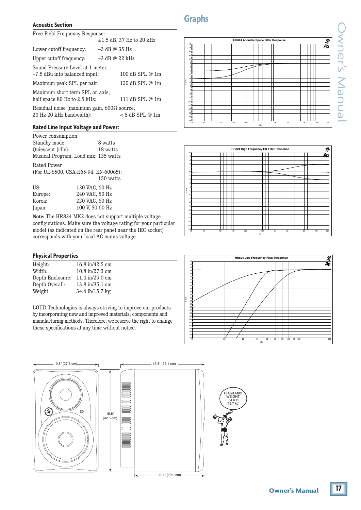# <span id="page-16-0"></span>**Acoustic Section**

# Free-Field Frequency Response:

|                                                                                                      | $\pm 1.5$ dB, 37 Hz to 20 kHz |  |
|------------------------------------------------------------------------------------------------------|-------------------------------|--|
| Lower cutoff frequency:                                                                              | $-3$ dB @ 35 Hz               |  |
| Upper cutoff frequency:                                                                              | $-3$ dB @ 22 kHz              |  |
| Sound Pressure Level at 1 meter,<br>$-7.5$ dBu into balanced input:                                  | 100 dB SPL @ 1m               |  |
| Maximum peak SPL per pair:                                                                           | 120 dB SPL @ 1m               |  |
| Maximum short term SPL on axis,<br>111 dB SPL @ 1m<br>half space 80 Hz to 2.5 kHz:                   |                               |  |
| Residual noise (maximum gain, $600\Omega$ source,<br>20 Hz-20 kHz bandwidth):<br>$< 8$ dB SPL $@$ 1m |                               |  |

# **Rated Line Input Voltage and Power:**

| Power consumption |                                                   |
|-------------------|---------------------------------------------------|
| Standby mode:     | 8 watts                                           |
| Quiescent (idle): | 18 watts                                          |
|                   | Musical Program, Loud mix: 135 watts              |
| Rated Power       | (For UL-6500, CSA-E65-94, EN-60065):<br>150 watts |
| $US$ :            | 120 VAC, 60 Hz                                    |
| Europe:           | 240 VAC, 50 Hz                                    |
| Korea:            | 220 VAC, 60 Hz                                    |
| Japan:            | 100 V. 50-60 Hz                                   |

**Note:** The HR824 MK2 does not support multiple voltage configurations. Make sure the voltage rating for your particular model (as indicated on the rear panel near the IEC socket) corresponds with your local AC mains voltage.

# **Physical Properties**

| 16.8 in/42.5 cm |
|-----------------|
| 10.8 in/27.3 cm |
| 11.4 in/29.0 cm |
| 13.8 in/35.1 cm |
| 34.6 lb/15.7 kg |
|                 |

LOUD Technologies is always striving to improve our products by incorporating new and improved materials, components and manufacturing methods. Therefore, we reserve the right to change these specifications at any time without notice.



**HR824 Acoustic Space Filter Response** +5 <u> Timbul S</u> +4 HH  $\overline{a}$ TT +3 <u> Film Time</u> +2 H +1 -0 ┯ ┯ an<br>Historia -1 ╈╈╈ ┯╤ -2 -3 7711  $\frac{1}{2}$ -4 T d B -5 u -6 -7 -8 I -9 ┯╈ -10 -11 **Time** -12 -13 -14 -15 10 20 50 100 200 500 1k 2k 5k 10k 20k

Hz

**Graphs**





HR824 MK2 WEIGHT 34.6 lb (15.7 kg)

 $17$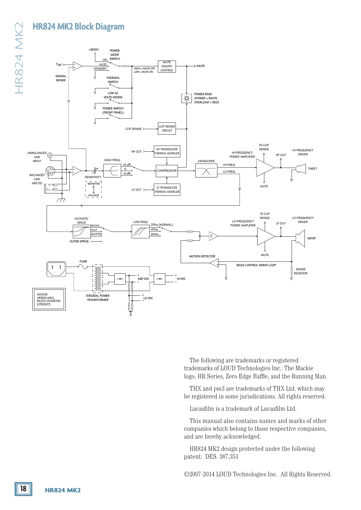# **HR824 MK2 Block Diagram**

<span id="page-17-0"></span>

The following are trademarks or registered trademarks of LOUD Technologies Inc.: The Mackie logo, HR Series, Zero Edge Baffle, and the Running Man.

THX and pm3 are trademarks of THX Ltd. which may be registered in some jurisdications. All rights reserved.

Lucasfilm is a trademark of Lucasfilm Ltd.

This manual also contains names and marks of other companies which belong to those respective companies, and are hereby acknowledged.

HR824 MK2 design protected under the following patent: DES. 387,351

©2007-2014 LOUD Technologies Inc. All Rights Reserved.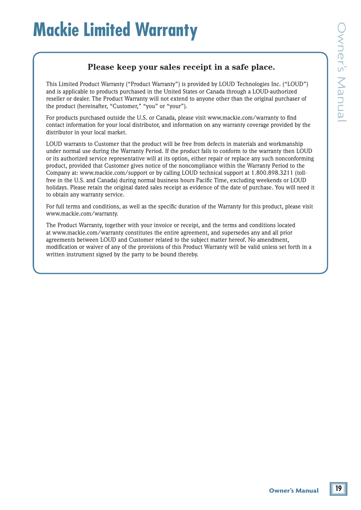# **Mackie Limited Warranty**

# **Please keep your sales receipt in a safe place.**

This Limited Product Warranty ("Product Warranty") is provided by LOUD Technologies Inc. ("LOUD") and is applicable to products purchased in the United States or Canada through a LOUD-authorized reseller or dealer. The Product Warranty will not extend to anyone other than the original purchaser of the product (hereinafter, "Customer," "you" or "your").

For products purchased outside the U.S. or Canada, please visit www.mackie.com/warranty to find contact information for your local distributor, and information on any warranty coverage provided by the distributor in your local market.

**CERT AND SET AN ACCED SET AND SET AN ACCED SET AND ACCED ACCED ACCED ACCED ACCED ACCED AND NOTE AND SURFACE SUBJERVIEW (FOR FOR SURFACE) AND SURFACE SUBJERVIEW (FOR SURFACE) And the set forth in a<br>simple of the provided b** LOUD warrants to Customer that the product will be free from defects in materials and workmanship under normal use during the Warranty Period. If the product fails to conform to the warranty then LOUD or its authorized service representative will at its option, either repair or replace any such nonconforming product, provided that Customer gives notice of the noncompliance within the Warranty Period to the Company at: www.mackie.com/support or by calling LOUD technical support at 1.800.898.3211 (tollfree in the U.S. and Canada) during normal business hours Pacific Time, excluding weekends or LOUD holidays. Please retain the original dated sales receipt as evidence of the date of purchase. You will need it to obtain any warranty service.

For full terms and conditions, as well as the specific duration of the Warranty for this product, please visit www.mackie.com/warranty.

The Product Warranty, together with your invoice or receipt, and the terms and conditions located at www.mackie.com/warranty constitutes the entire agreement, and supersedes any and all prior agreements between LOUD and Customer related to the subject matter hereof. No amendment, modification or waiver of any of the provisions of this Product Warranty will be valid unless set forth in a written instrument signed by the party to be bound thereby.